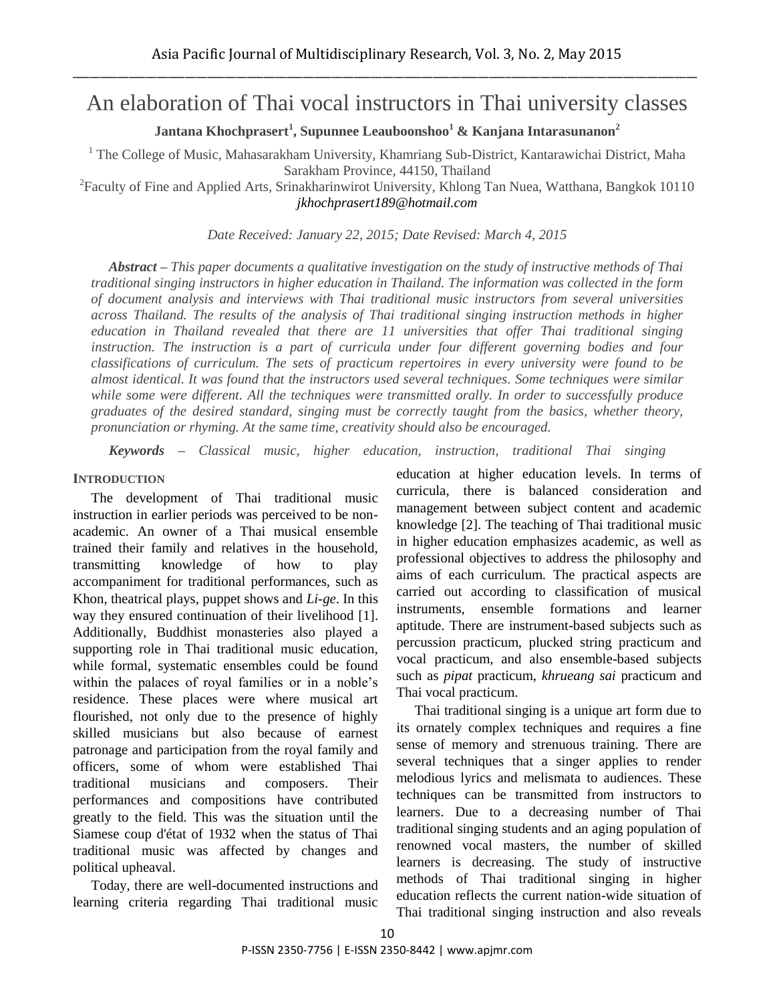# An elaboration of Thai vocal instructors in Thai university classes

**Jantana Khochprasert<sup>1</sup> , Supunnee Leauboonshoo<sup>1</sup> & Kanjana Intarasunanon<sup>2</sup>**

<sup>1</sup> The College of Music, Mahasarakham University, Khamriang Sub-District, Kantarawichai District, Maha Sarakham Province, 44150, Thailand

<sup>2</sup> Faculty of Fine and Applied Arts, Srinakharinwirot University, Khlong Tan Nuea, Watthana, Bangkok 10110 *jkhochprasert189@hotmail.com*

*Date Received: January 22, 2015; Date Revised: March 4, 2015*

*Abstract – This paper documents a qualitative investigation on the study of instructive methods of Thai traditional singing instructors in higher education in Thailand. The information was collected in the form of document analysis and interviews with Thai traditional music instructors from several universities across Thailand. The results of the analysis of Thai traditional singing instruction methods in higher education in Thailand revealed that there are 11 universities that offer Thai traditional singing instruction. The instruction is a part of curricula under four different governing bodies and four classifications of curriculum. The sets of practicum repertoires in every university were found to be almost identical. It was found that the instructors used several techniques. Some techniques were similar while some were different. All the techniques were transmitted orally. In order to successfully produce graduates of the desired standard, singing must be correctly taught from the basics, whether theory, pronunciation or rhyming. At the same time, creativity should also be encouraged.*

*Keywords – Classical music, higher education, instruction, traditional Thai singing*

#### **INTRODUCTION**

The development of Thai traditional music instruction in earlier periods was perceived to be nonacademic. An owner of a Thai musical ensemble trained their family and relatives in the household, transmitting knowledge of how to play accompaniment for traditional performances, such as Khon, theatrical plays, puppet shows and *Li-ge*. In this way they ensured continuation of their livelihood [1]. Additionally, Buddhist monasteries also played a supporting role in Thai traditional music education, while formal, systematic ensembles could be found within the palaces of royal families or in a noble's residence. These places were where musical art flourished, not only due to the presence of highly skilled musicians but also because of earnest patronage and participation from the royal family and officers, some of whom were established Thai traditional musicians and composers. Their performances and compositions have contributed greatly to the field. This was the situation until the Siamese coup d'état of 1932 when the status of Thai traditional music was affected by changes and political upheaval.

Today, there are well-documented instructions and learning criteria regarding Thai traditional music education at higher education levels. In terms of curricula, there is balanced consideration and management between subject content and academic knowledge [2]. The teaching of Thai traditional music in higher education emphasizes academic, as well as professional objectives to address the philosophy and aims of each curriculum. The practical aspects are carried out according to classification of musical instruments, ensemble formations and learner aptitude. There are instrument-based subjects such as percussion practicum, plucked string practicum and vocal practicum, and also ensemble-based subjects such as *pipat* practicum, *khrueang sai* practicum and Thai vocal practicum.

Thai traditional singing is a unique art form due to its ornately complex techniques and requires a fine sense of memory and strenuous training. There are several techniques that a singer applies to render melodious lyrics and melismata to audiences. These techniques can be transmitted from instructors to learners. Due to a decreasing number of Thai traditional singing students and an aging population of renowned vocal masters, the number of skilled learners is decreasing. The study of instructive methods of Thai traditional singing in higher education reflects the current nation-wide situation of Thai traditional singing instruction and also reveals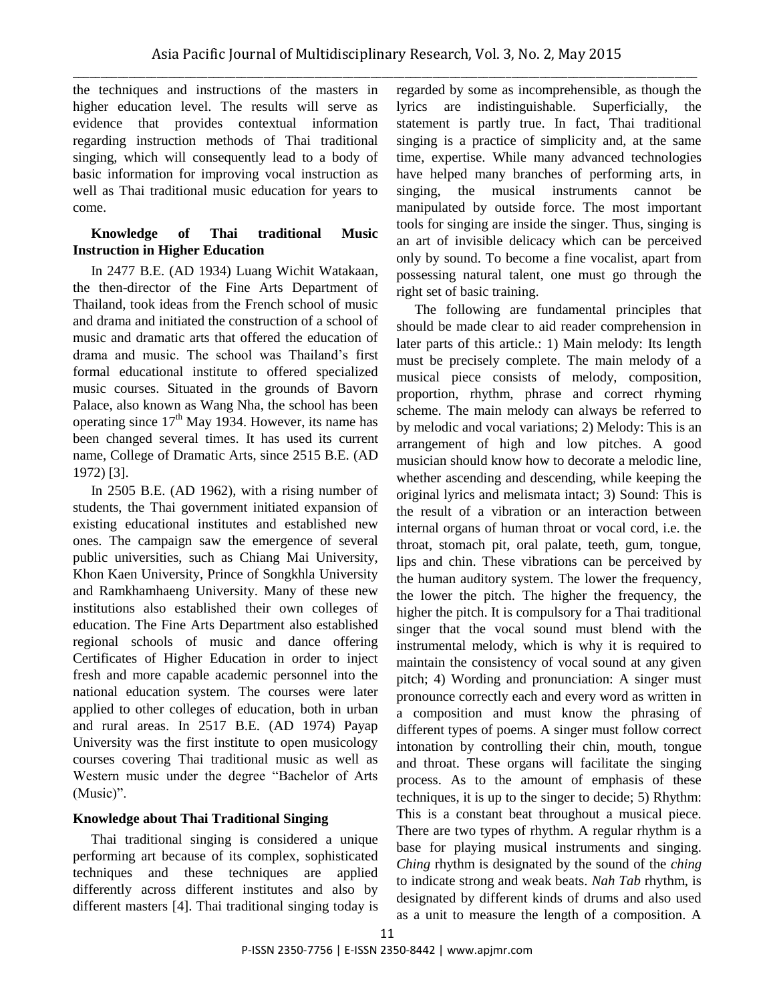the techniques and instructions of the masters in higher education level. The results will serve as evidence that provides contextual information regarding instruction methods of Thai traditional singing, which will consequently lead to a body of basic information for improving vocal instruction as well as Thai traditional music education for years to come.

# **Knowledge of Thai traditional Music Instruction in Higher Education**

In 2477 B.E. (AD 1934) Luang Wichit Watakaan, the then-director of the Fine Arts Department of Thailand, took ideas from the French school of music and drama and initiated the construction of a school of music and dramatic arts that offered the education of drama and music. The school was Thailand's first formal educational institute to offered specialized music courses. Situated in the grounds of Bavorn Palace, also known as Wang Nha, the school has been operating since  $17<sup>th</sup>$  May 1934. However, its name has been changed several times. It has used its current name, College of Dramatic Arts, since 2515 B.E. (AD 1972) [3].

In 2505 B.E. (AD 1962), with a rising number of students, the Thai government initiated expansion of existing educational institutes and established new ones. The campaign saw the emergence of several public universities, such as Chiang Mai University, Khon Kaen University, Prince of Songkhla University and Ramkhamhaeng University. Many of these new institutions also established their own colleges of education. The Fine Arts Department also established regional schools of music and dance offering Certificates of Higher Education in order to inject fresh and more capable academic personnel into the national education system. The courses were later applied to other colleges of education, both in urban and rural areas. In 2517 B.E. (AD 1974) Payap University was the first institute to open musicology courses covering Thai traditional music as well as Western music under the degree "Bachelor of Arts (Music)".

# **Knowledge about Thai Traditional Singing**

Thai traditional singing is considered a unique performing art because of its complex, sophisticated techniques and these techniques are applied differently across different institutes and also by different masters [4]. Thai traditional singing today is regarded by some as incomprehensible, as though the lyrics are indistinguishable. Superficially, the statement is partly true. In fact, Thai traditional singing is a practice of simplicity and, at the same time, expertise. While many advanced technologies have helped many branches of performing arts, in singing, the musical instruments cannot be manipulated by outside force. The most important tools for singing are inside the singer. Thus, singing is an art of invisible delicacy which can be perceived only by sound. To become a fine vocalist, apart from possessing natural talent, one must go through the right set of basic training.

The following are fundamental principles that should be made clear to aid reader comprehension in later parts of this article.: 1) Main melody: Its length must be precisely complete. The main melody of a musical piece consists of melody, composition, proportion, rhythm, phrase and correct rhyming scheme. The main melody can always be referred to by melodic and vocal variations; 2) Melody: This is an arrangement of high and low pitches. A good musician should know how to decorate a melodic line, whether ascending and descending, while keeping the original lyrics and melismata intact; 3) Sound: This is the result of a vibration or an interaction between internal organs of human throat or vocal cord, i.e. the throat, stomach pit, oral palate, teeth, gum, tongue, lips and chin. These vibrations can be perceived by the human auditory system. The lower the frequency, the lower the pitch. The higher the frequency, the higher the pitch. It is compulsory for a Thai traditional singer that the vocal sound must blend with the instrumental melody, which is why it is required to maintain the consistency of vocal sound at any given pitch; 4) Wording and pronunciation: A singer must pronounce correctly each and every word as written in a composition and must know the phrasing of different types of poems. A singer must follow correct intonation by controlling their chin, mouth, tongue and throat. These organs will facilitate the singing process. As to the amount of emphasis of these techniques, it is up to the singer to decide; 5) Rhythm: This is a constant beat throughout a musical piece. There are two types of rhythm. A regular rhythm is a base for playing musical instruments and singing. *Ching* rhythm is designated by the sound of the *ching* to indicate strong and weak beats. *Nah Tab* rhythm, is designated by different kinds of drums and also used as a unit to measure the length of a composition. A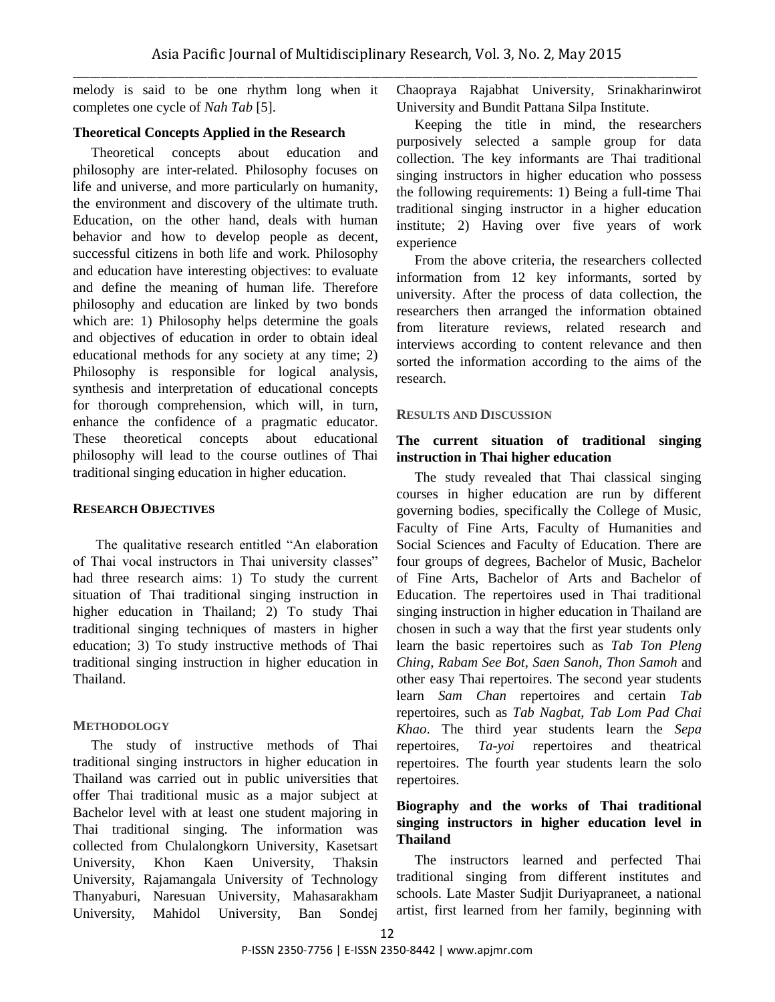melody is said to be one rhythm long when it completes one cycle of *Nah Tab* [5].

#### **Theoretical Concepts Applied in the Research**

Theoretical concepts about education and philosophy are inter-related. Philosophy focuses on life and universe, and more particularly on humanity, the environment and discovery of the ultimate truth. Education, on the other hand, deals with human behavior and how to develop people as decent, successful citizens in both life and work. Philosophy and education have interesting objectives: to evaluate and define the meaning of human life. Therefore philosophy and education are linked by two bonds which are: 1) Philosophy helps determine the goals and objectives of education in order to obtain ideal educational methods for any society at any time; 2) Philosophy is responsible for logical analysis, synthesis and interpretation of educational concepts for thorough comprehension, which will, in turn, enhance the confidence of a pragmatic educator. These theoretical concepts about educational philosophy will lead to the course outlines of Thai traditional singing education in higher education.

## **RESEARCH OBJECTIVES**

The qualitative research entitled "An elaboration of Thai vocal instructors in Thai university classes" had three research aims: 1) To study the current situation of Thai traditional singing instruction in higher education in Thailand; 2) To study Thai traditional singing techniques of masters in higher education; 3) To study instructive methods of Thai traditional singing instruction in higher education in Thailand.

#### **METHODOLOGY**

The study of instructive methods of Thai traditional singing instructors in higher education in Thailand was carried out in public universities that offer Thai traditional music as a major subject at Bachelor level with at least one student majoring in Thai traditional singing. The information was collected from Chulalongkorn University, Kasetsart University, Khon Kaen University, Thaksin University, Rajamangala University of Technology Thanyaburi, Naresuan University, Mahasarakham University, Mahidol University, Ban Sondej Chaopraya Rajabhat University, Srinakharinwirot University and Bundit Pattana Silpa Institute.

Keeping the title in mind, the researchers purposively selected a sample group for data collection. The key informants are Thai traditional singing instructors in higher education who possess the following requirements: 1) Being a full-time Thai traditional singing instructor in a higher education institute; 2) Having over five years of work experience

From the above criteria, the researchers collected information from 12 key informants, sorted by university. After the process of data collection, the researchers then arranged the information obtained from literature reviews, related research and interviews according to content relevance and then sorted the information according to the aims of the research.

#### **RESULTS AND DISCUSSION**

## **The current situation of traditional singing instruction in Thai higher education**

The study revealed that Thai classical singing courses in higher education are run by different governing bodies, specifically the College of Music, Faculty of Fine Arts, Faculty of Humanities and Social Sciences and Faculty of Education. There are four groups of degrees, Bachelor of Music, Bachelor of Fine Arts, Bachelor of Arts and Bachelor of Education. The repertoires used in Thai traditional singing instruction in higher education in Thailand are chosen in such a way that the first year students only learn the basic repertoires such as *Tab Ton Pleng Ching*, *Rabam See Bot*, *Saen Sanoh*, *Thon Samoh* and other easy Thai repertoires. The second year students learn *Sam Chan* repertoires and certain *Tab* repertoires, such as *Tab Nagbat*, *Tab Lom Pad Chai Khao*. The third year students learn the *Sepa* repertoires, *Ta-yoi* repertoires and theatrical repertoires. The fourth year students learn the solo repertoires.

# **Biography and the works of Thai traditional singing instructors in higher education level in Thailand**

The instructors learned and perfected Thai traditional singing from different institutes and schools. Late Master Sudjit Duriyapraneet, a national artist, first learned from her family, beginning with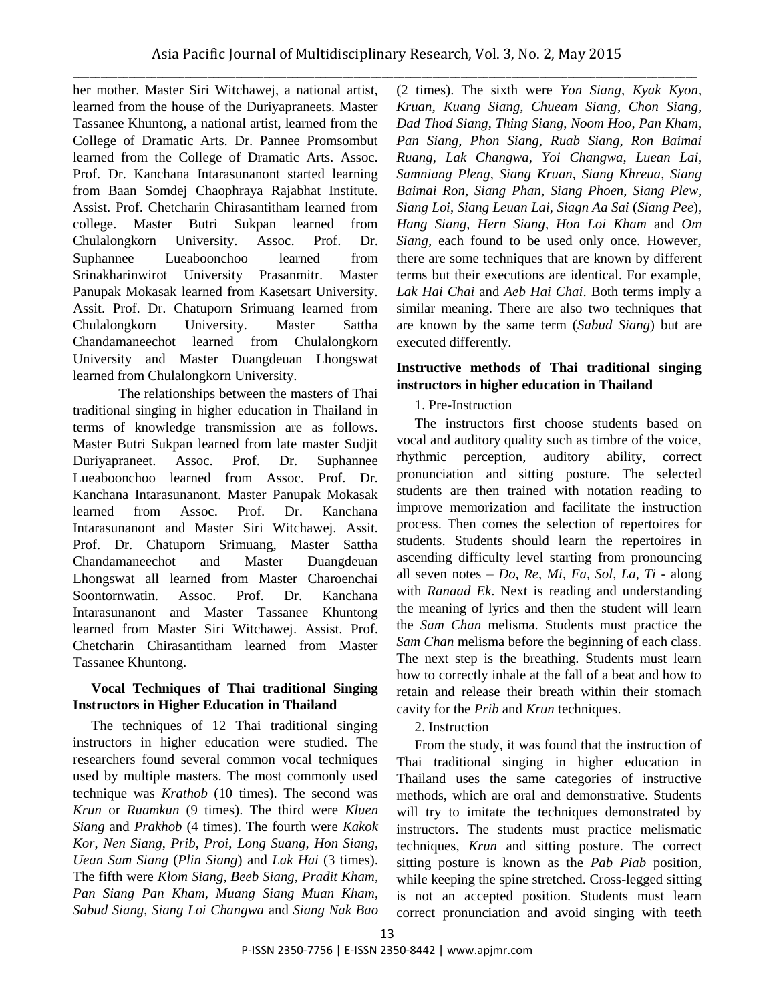her mother. Master Siri Witchawej, a national artist, learned from the house of the Duriyapraneets. Master Tassanee Khuntong, a national artist, learned from the College of Dramatic Arts. Dr. Pannee Promsombut learned from the College of Dramatic Arts. Assoc. Prof. Dr. Kanchana Intarasunanont started learning from Baan Somdej Chaophraya Rajabhat Institute. Assist. Prof. Chetcharin Chirasantitham learned from college. Master Butri Sukpan learned from Chulalongkorn University. Assoc. Prof. Dr. Suphannee Lueaboonchoo learned from Srinakharinwirot University Prasanmitr. Master Panupak Mokasak learned from Kasetsart University. Assit. Prof. Dr. Chatuporn Srimuang learned from Chulalongkorn University. Master Sattha Chandamaneechot learned from Chulalongkorn University and Master Duangdeuan Lhongswat learned from Chulalongkorn University.

The relationships between the masters of Thai traditional singing in higher education in Thailand in terms of knowledge transmission are as follows. Master Butri Sukpan learned from late master Sudjit Duriyapraneet. Assoc. Prof. Dr. Suphannee Lueaboonchoo learned from Assoc. Prof. Dr. Kanchana Intarasunanont. Master Panupak Mokasak learned from Assoc. Prof. Dr. Kanchana Intarasunanont and Master Siri Witchawej. Assit. Prof. Dr. Chatuporn Srimuang, Master Sattha Chandamaneechot and Master Duangdeuan Lhongswat all learned from Master Charoenchai Soontornwatin. Assoc. Prof. Dr. Kanchana Intarasunanont and Master Tassanee Khuntong learned from Master Siri Witchawej. Assist. Prof. Chetcharin Chirasantitham learned from Master Tassanee Khuntong.

## **Vocal Techniques of Thai traditional Singing Instructors in Higher Education in Thailand**

The techniques of 12 Thai traditional singing instructors in higher education were studied. The researchers found several common vocal techniques used by multiple masters. The most commonly used technique was *Krathob* (10 times). The second was *Krun* or *Ruamkun* (9 times). The third were *Kluen Siang* and *Prakhob* (4 times). The fourth were *Kakok Kor*, *Nen Siang*, *Prib*, *Proi*, *Long Suang*, *Hon Siang*, *Uean Sam Siang* (*Plin Siang*) and *Lak Hai* (3 times). The fifth were *Klom Siang*, *Beeb Siang*, *Pradit Kham*, *Pan Siang Pan Kham*, *Muang Siang Muan Kham*, *Sabud Siang*, *Siang Loi Changwa* and *Siang Nak Bao*

(2 times). The sixth were *Yon Siang*, *Kyak Kyon*, *Kruan*, *Kuang Siang*, *Chueam Siang*, *Chon Siang*, *Dad Thod Siang*, *Thing Siang*, *Noom Hoo*, *Pan Kham*, *Pan Siang*, *Phon Siang*, *Ruab Siang*, *Ron Baimai Ruang*, *Lak Changwa*, *Yoi Changwa*, *Luean Lai*, *Samniang Pleng*, *Siang Kruan*, *Siang Khreua*, *Siang Baimai Ron*, *Siang Phan*, *Siang Phoen*, *Siang Plew*, *Siang Loi*, *Siang Leuan Lai*, *Siagn Aa Sai* (*Siang Pee*), *Hang Siang*, *Hern Siang*, *Hon Loi Kham* and *Om Siang*, each found to be used only once. However, there are some techniques that are known by different terms but their executions are identical. For example, *Lak Hai Chai* and *Aeb Hai Chai*. Both terms imply a similar meaning. There are also two techniques that are known by the same term (*Sabud Siang*) but are executed differently.

## **Instructive methods of Thai traditional singing instructors in higher education in Thailand**

# 1. Pre-Instruction

The instructors first choose students based on vocal and auditory quality such as timbre of the voice, rhythmic perception, auditory ability, correct pronunciation and sitting posture. The selected students are then trained with notation reading to improve memorization and facilitate the instruction process. Then comes the selection of repertoires for students. Students should learn the repertoires in ascending difficulty level starting from pronouncing all seven notes – *Do, Re, Mi, Fa, Sol, La, Ti* - along with *Ranaad Ek*. Next is reading and understanding the meaning of lyrics and then the student will learn the *Sam Chan* melisma. Students must practice the *Sam Chan* melisma before the beginning of each class. The next step is the breathing. Students must learn how to correctly inhale at the fall of a beat and how to retain and release their breath within their stomach cavity for the *Prib* and *Krun* techniques.

# 2. Instruction

From the study, it was found that the instruction of Thai traditional singing in higher education in Thailand uses the same categories of instructive methods, which are oral and demonstrative. Students will try to imitate the techniques demonstrated by instructors. The students must practice melismatic techniques, *Krun* and sitting posture. The correct sitting posture is known as the *Pab Piab* position, while keeping the spine stretched. Cross-legged sitting is not an accepted position. Students must learn correct pronunciation and avoid singing with teeth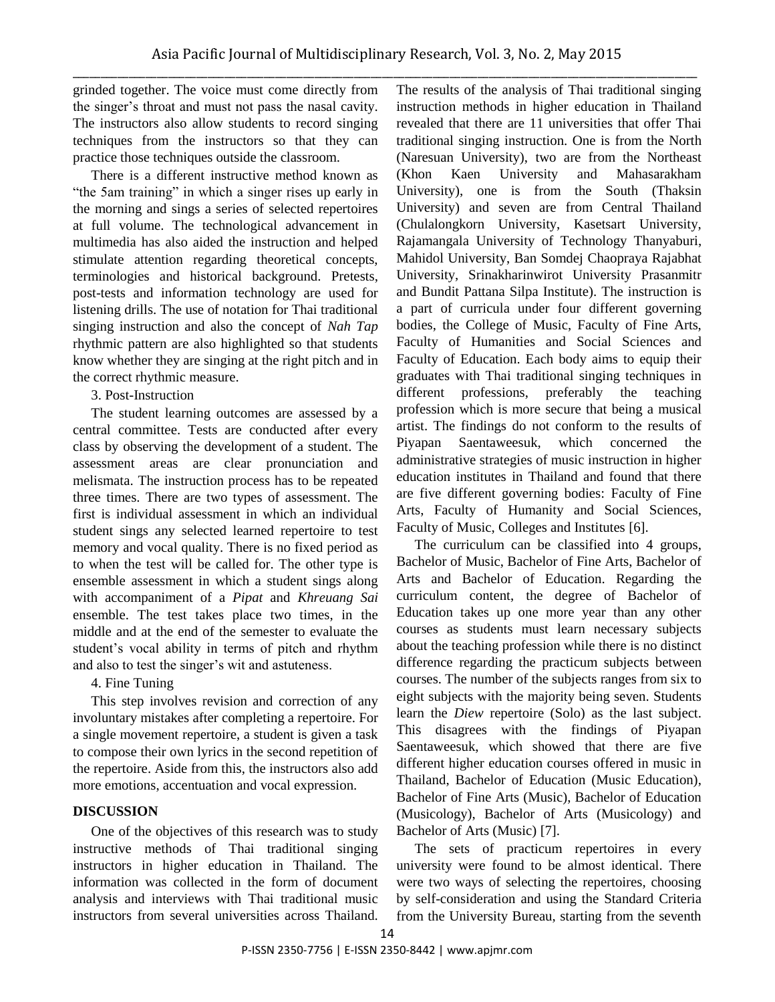grinded together. The voice must come directly from the singer's throat and must not pass the nasal cavity. The instructors also allow students to record singing techniques from the instructors so that they can practice those techniques outside the classroom.

There is a different instructive method known as "the 5am training" in which a singer rises up early in the morning and sings a series of selected repertoires at full volume. The technological advancement in multimedia has also aided the instruction and helped stimulate attention regarding theoretical concepts, terminologies and historical background. Pretests, post-tests and information technology are used for listening drills. The use of notation for Thai traditional singing instruction and also the concept of *Nah Tap* rhythmic pattern are also highlighted so that students know whether they are singing at the right pitch and in the correct rhythmic measure.

#### 3. Post-Instruction

The student learning outcomes are assessed by a central committee. Tests are conducted after every class by observing the development of a student. The assessment areas are clear pronunciation and melismata. The instruction process has to be repeated three times. There are two types of assessment. The first is individual assessment in which an individual student sings any selected learned repertoire to test memory and vocal quality. There is no fixed period as to when the test will be called for. The other type is ensemble assessment in which a student sings along with accompaniment of a *Pipat* and *Khreuang Sai* ensemble. The test takes place two times, in the middle and at the end of the semester to evaluate the student's vocal ability in terms of pitch and rhythm and also to test the singer's wit and astuteness.

## 4. Fine Tuning

This step involves revision and correction of any involuntary mistakes after completing a repertoire. For a single movement repertoire, a student is given a task to compose their own lyrics in the second repetition of the repertoire. Aside from this, the instructors also add more emotions, accentuation and vocal expression.

# **DISCUSSION**

One of the objectives of this research was to study instructive methods of Thai traditional singing instructors in higher education in Thailand. The information was collected in the form of document analysis and interviews with Thai traditional music instructors from several universities across Thailand.

The results of the analysis of Thai traditional singing instruction methods in higher education in Thailand revealed that there are 11 universities that offer Thai traditional singing instruction. One is from the North (Naresuan University), two are from the Northeast (Khon Kaen University and Mahasarakham University), one is from the South (Thaksin University) and seven are from Central Thailand (Chulalongkorn University, Kasetsart University, Rajamangala University of Technology Thanyaburi, Mahidol University, Ban Somdej Chaopraya Rajabhat University, Srinakharinwirot University Prasanmitr and Bundit Pattana Silpa Institute). The instruction is a part of curricula under four different governing bodies, the College of Music, Faculty of Fine Arts, Faculty of Humanities and Social Sciences and Faculty of Education. Each body aims to equip their graduates with Thai traditional singing techniques in different professions, preferably the teaching profession which is more secure that being a musical artist. The findings do not conform to the results of Piyapan Saentaweesuk, which concerned the administrative strategies of music instruction in higher education institutes in Thailand and found that there are five different governing bodies: Faculty of Fine Arts, Faculty of Humanity and Social Sciences, Faculty of Music, Colleges and Institutes [6].

The curriculum can be classified into 4 groups, Bachelor of Music, Bachelor of Fine Arts, Bachelor of Arts and Bachelor of Education. Regarding the curriculum content, the degree of Bachelor of Education takes up one more year than any other courses as students must learn necessary subjects about the teaching profession while there is no distinct difference regarding the practicum subjects between courses. The number of the subjects ranges from six to eight subjects with the majority being seven. Students learn the *Diew* repertoire (Solo) as the last subject. This disagrees with the findings of Piyapan Saentaweesuk, which showed that there are five different higher education courses offered in music in Thailand, Bachelor of Education (Music Education), Bachelor of Fine Arts (Music), Bachelor of Education (Musicology), Bachelor of Arts (Musicology) and Bachelor of Arts (Music) [7].

The sets of practicum repertoires in every university were found to be almost identical. There were two ways of selecting the repertoires, choosing by self-consideration and using the Standard Criteria from the University Bureau, starting from the seventh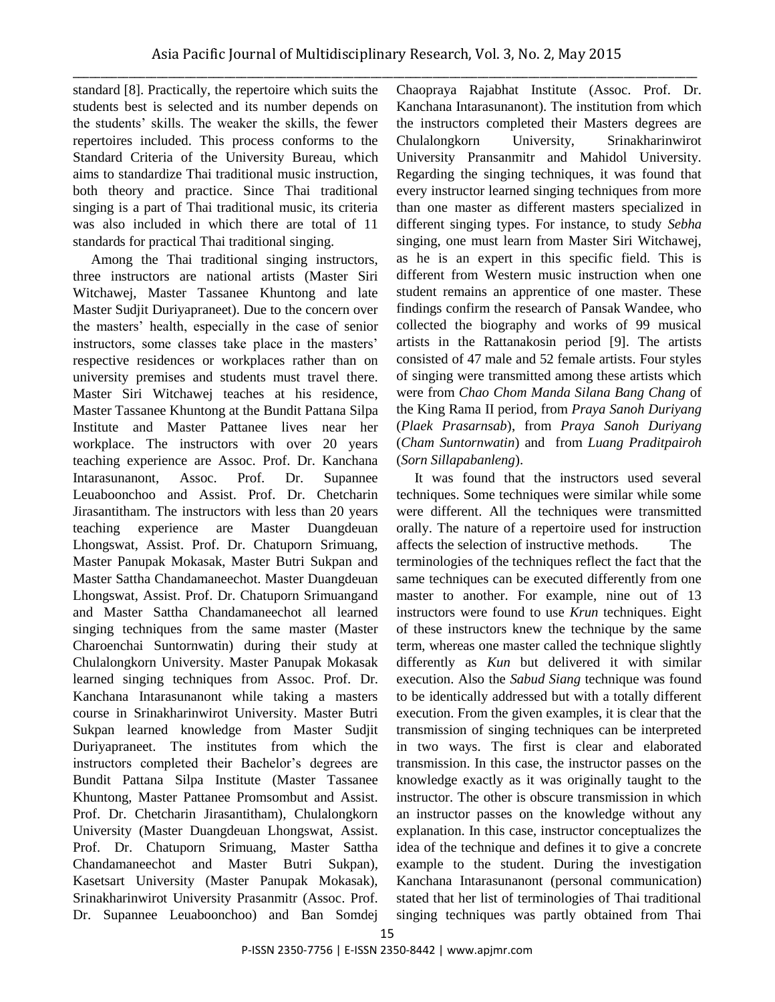\_\_\_\_\_\_\_\_\_\_\_\_\_\_\_\_\_\_\_\_\_\_\_\_\_\_\_\_\_\_\_\_\_\_\_\_\_\_\_\_\_\_\_\_\_\_\_\_\_\_\_\_\_\_\_\_\_\_\_\_\_\_\_\_\_\_\_\_\_\_\_\_\_\_\_\_\_\_\_\_\_\_\_\_\_\_\_\_\_\_\_\_\_\_\_\_\_\_\_\_\_\_\_\_\_\_\_\_\_\_\_ standard [8]. Practically, the repertoire which suits the students best is selected and its number depends on the students' skills. The weaker the skills, the fewer repertoires included. This process conforms to the Standard Criteria of the University Bureau, which aims to standardize Thai traditional music instruction, both theory and practice. Since Thai traditional singing is a part of Thai traditional music, its criteria was also included in which there are total of 11 standards for practical Thai traditional singing.

Among the Thai traditional singing instructors, three instructors are national artists (Master Siri Witchawej, Master Tassanee Khuntong and late Master Sudjit Duriyapraneet). Due to the concern over the masters' health, especially in the case of senior instructors, some classes take place in the masters' respective residences or workplaces rather than on university premises and students must travel there. Master Siri Witchawej teaches at his residence, Master Tassanee Khuntong at the Bundit Pattana Silpa Institute and Master Pattanee lives near her workplace. The instructors with over 20 years teaching experience are Assoc. Prof. Dr. Kanchana Intarasunanont, Assoc. Prof. Dr. Supannee Leuaboonchoo and Assist. Prof. Dr. Chetcharin Jirasantitham. The instructors with less than 20 years teaching experience are Master Duangdeuan Lhongswat, Assist. Prof. Dr. Chatuporn Srimuang, Master Panupak Mokasak, Master Butri Sukpan and Master Sattha Chandamaneechot. Master Duangdeuan Lhongswat, Assist. Prof. Dr. Chatuporn Srimuangand and Master Sattha Chandamaneechot all learned singing techniques from the same master (Master Charoenchai Suntornwatin) during their study at Chulalongkorn University. Master Panupak Mokasak learned singing techniques from Assoc. Prof. Dr. Kanchana Intarasunanont while taking a masters course in Srinakharinwirot University. Master Butri Sukpan learned knowledge from Master Sudjit Duriyapraneet. The institutes from which the instructors completed their Bachelor's degrees are Bundit Pattana Silpa Institute (Master Tassanee Khuntong, Master Pattanee Promsombut and Assist. Prof. Dr. Chetcharin Jirasantitham), Chulalongkorn University (Master Duangdeuan Lhongswat, Assist. Prof. Dr. Chatuporn Srimuang, Master Sattha Chandamaneechot and Master Butri Sukpan), Kasetsart University (Master Panupak Mokasak), Srinakharinwirot University Prasanmitr (Assoc. Prof. Dr. Supannee Leuaboonchoo) and Ban Somdej

Chaopraya Rajabhat Institute (Assoc. Prof. Dr. Kanchana Intarasunanont). The institution from which the instructors completed their Masters degrees are Chulalongkorn University, Srinakharinwirot University Pransanmitr and Mahidol University. Regarding the singing techniques, it was found that every instructor learned singing techniques from more than one master as different masters specialized in different singing types. For instance, to study *Sebha* singing, one must learn from Master Siri Witchawej, as he is an expert in this specific field. This is different from Western music instruction when one student remains an apprentice of one master. These findings confirm the research of Pansak Wandee, who collected the biography and works of 99 musical artists in the Rattanakosin period [9]. The artists consisted of 47 male and 52 female artists. Four styles of singing were transmitted among these artists which were from *Chao Chom Manda Silana Bang Chang* of the King Rama II period, from *Praya Sanoh Duriyang* (*Plaek Prasarnsab*), from *Praya Sanoh Duriyang* (*Cham Suntornwatin*) and from *Luang Praditpairoh* (*Sorn Sillapabanleng*).

It was found that the instructors used several techniques. Some techniques were similar while some were different. All the techniques were transmitted orally. The nature of a repertoire used for instruction affects the selection of instructive methods. The terminologies of the techniques reflect the fact that the same techniques can be executed differently from one master to another. For example, nine out of 13 instructors were found to use *Krun* techniques. Eight of these instructors knew the technique by the same term, whereas one master called the technique slightly differently as *Kun* but delivered it with similar execution. Also the *Sabud Siang* technique was found to be identically addressed but with a totally different execution. From the given examples, it is clear that the transmission of singing techniques can be interpreted in two ways. The first is clear and elaborated transmission. In this case, the instructor passes on the knowledge exactly as it was originally taught to the instructor. The other is obscure transmission in which an instructor passes on the knowledge without any explanation. In this case, instructor conceptualizes the idea of the technique and defines it to give a concrete example to the student. During the investigation Kanchana Intarasunanont (personal communication) stated that her list of terminologies of Thai traditional singing techniques was partly obtained from Thai